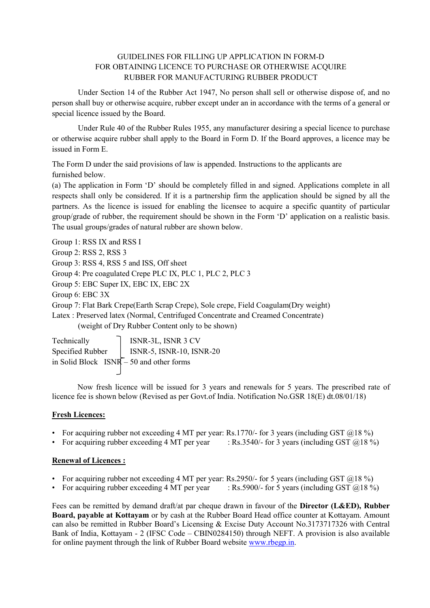## GUIDELINES FOR FILLING UP APPLICATION IN FORM-D FOR OBTAINING LICENCE TO PURCHASE OR OTHERWISE ACQUIRE RUBBER FOR MANUFACTURING RUBBER PRODUCT

Under Section 14 of the Rubber Act 1947, No person shall sell or otherwise dispose of, and no person shall buy or otherwise acquire, rubber except under an in accordance with the terms of a general or special licence issued by the Board.

Under Rule 40 of the Rubber Rules 1955, any manufacturer desiring a special licence to purchase or otherwise acquire rubber shall apply to the Board in Form D. If the Board approves, a licence may be issued in Form E.

The Form D under the said provisions of law is appended. Instructions to the applicants are furnished below.

(a) The application in Form 'D' should be completely filled in and signed. Applications complete in all respects shall only be considered. If it is a partnership firm the application should be signed by all the partners. As the licence is issued for enabling the licensee to acquire a specific quantity of particular group/grade of rubber, the requirement should be shown in the Form 'D' application on a realistic basis. The usual groups/grades of natural rubber are shown below.

Group 1: RSS IX and RSS I

Group 2: RSS 2, RSS 3

Group 3: RSS 4, RSS 5 and ISS, Off sheet

Group 4: Pre coagulated Crepe PLC IX, PLC 1, PLC 2, PLC 3

Group 5: EBC Super IX, EBC IX, EBC 2X

Group 6: EBC 3X

Group 7: Flat Bark Crepe(Earth Scrap Crepe), Sole crepe, Field Coagulam(Dry weight)

Latex : Preserved latex (Normal, Centrifuged Concentrate and Creamed Concentrate)

(weight of Dry Rubber Content only to be shown)

Technically **ISNR-3L, ISNR 3 CV** Specified Rubber | ISNR-5, ISNR-10, ISNR-20 in Solid Block ISNR – 50 and other forms

Now fresh licence will be issued for 3 years and renewals for 5 years. The prescribed rate of licence fee is shown below (Revised as per Govt.of India. Notification No.GSR 18(E) dt.08/01/18)

## **Fresh Licences:**

- For acquiring rubber not exceeding 4 MT per year: Rs.1770/- for 3 years (including GST  $(2.18\%)$ )
- For acquiring rubber exceeding 4 MT per year : Rs.3540/- for 3 years (including GST  $(0.18\%)$

## **Renewal of Licences :**

- For acquiring rubber not exceeding 4 MT per year: Rs.2950/- for 5 years (including GST  $(218\%)$ )
- For acquiring rubber exceeding 4 MT per year : Rs.5900/- for 5 years (including GST  $\omega$ 18 %)

Fees can be remitted by demand draft/at par cheque drawn in favour of the **Director (L&ED), Rubber Board, payable at Kottayam** or by cash at the Rubber Board Head office counter at Kottayam. Amount can also be remitted in Rubber Board's Licensing & Excise Duty Account No.3173717326 with Central Bank of India, Kottayam - 2 (IFSC Code – CBIN0284150) through NEFT. A provision is also available for online payment through the link of Rubber Board website www.rbegp.in.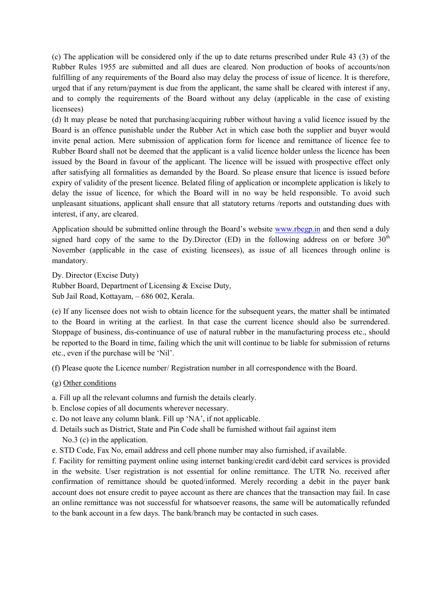(c) The application will be considered only if the up to date returns prescribed under Rule 43 (3) of the Rubber Rules 1955 are submitted and all dues are cleared. Non production of books of accounts/non fulfilling of any requirements of the Board also may delay the process of issue of licence. It is therefore, urged that if any return/payment is due from the applicant, the same shall be cleared with interest if any, and to comply the requirements of the Board without any delay (applicable in the case of existing licensees)

(d) It may please be noted that purchasing/acquiring rubber without having a valid licence issued by the Board is an offence punishable under the Rubber Act in which case both the supplier and buyer would invite penal action. Mere submission of application form for licence and remittance of licence fee to Rubber Board shall not be deemed that the applicant is a valid licence holder unless the licence has been issued by the Board in favour of the applicant. The licence will be issued with prospective effect only after satisfying all formalities as demanded by the Board. So please ensure that licence is issued before expiry of validity of the present licence. Belated filing of application or incomplete application is likely to delay the issue of licence, for which the Board will in no way be held responsible. To avoid such unpleasant situations, applicant shall ensure that all statutory returns /reports and outstanding dues with interest, if any, are cleared.

Application should be submitted online through the Board's website www.rbegp.in and then send a duly signed hard copy of the same to the Dy.Director (ED) in the following address on or before  $30<sup>th</sup>$ November (applicable in the case of existing licensees), as issue of all licences through online is mandatory.

Dy. Director (Excise Duty) Rubber Board, Department of Licensing & Excise Duty, Sub Jail Road, Kottayam, – 686 002, Kerala.

(e) If any licensee does not wish to obtain licence for the subsequent years, the matter shall be intimated to the Board in writing at the earliest. In that case the current licence should also be surrendered. Stoppage of business, dis-continuance of use of natural rubber in the manufacturing process etc., should be reported to the Board in time, failing which the unit will continue to be liable for submission of returns etc., even if the purchase will be 'Nil'.

(f) Please quote the Licence number/ Registration number in all correspondence with the Board.

(g) Other conditions

a. Fill up all the relevant columns and furnish the details clearly.

- b. Enclose copies of all documents wherever necessary.
- c. Do not leave any column blank. Fill up 'NA', if not applicable.
- d. Details such as District, State and Pin Code shall be furnished without fail against item No.3 (c) in the application.
- e. STD Code, Fax No, email address and cell phone number may also furnished, if available.

f. Facility for remitting payment online using internet banking/credit card/debit card services is provided in the website. User registration is not essential for online remittance. The UTR No. received after confirmation of remittance should be quoted/informed. Merely recording a debit in the payer bank account does not ensure credit to payee account as there are chances that the transaction may fail. In case an online remittance was not successful for whatsoever reasons, the same will be automatically refunded to the bank account in a few days. The bank/branch may be contacted in such cases.